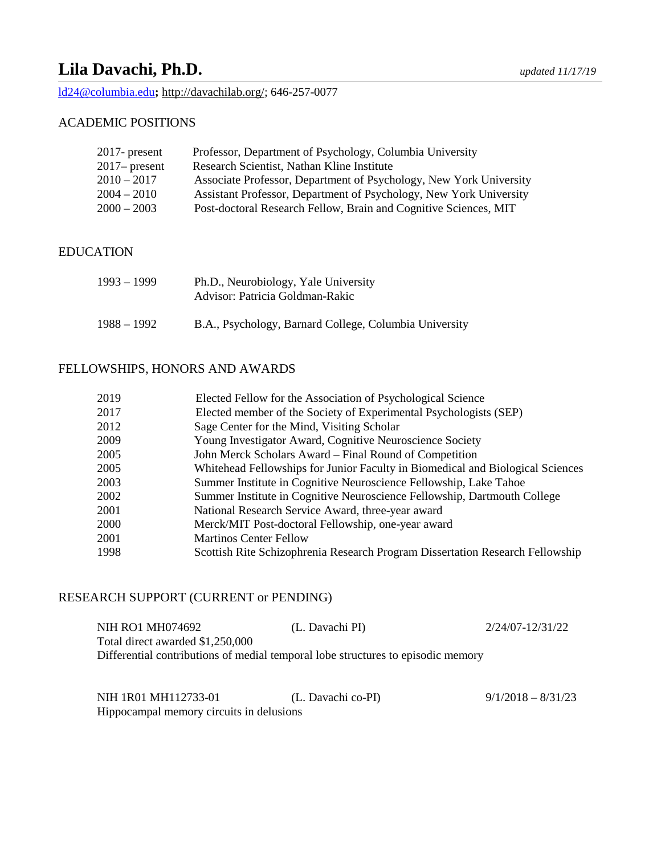# **Lila Davachi, Ph.D.** *updated 11/17/19*

[ld24@columbia.edu](mailto:ld24@columbia.edu)**;** [http://davachilab.org/;](http://davachilab.org/) 646-257-0077

# ACADEMIC POSITIONS

| $2017$ - present | Professor, Department of Psychology, Columbia University           |
|------------------|--------------------------------------------------------------------|
| $2017$ - present | Research Scientist, Nathan Kline Institute                         |
| 2010 – 2017      | Associate Professor, Department of Psychology, New York University |
| 2004 – 2010      | Assistant Professor, Department of Psychology, New York University |
| $2000 - 2003$    | Post-doctoral Research Fellow, Brain and Cognitive Sciences, MIT   |
|                  |                                                                    |

# EDUCATION

| 1993 – 1999 | Ph.D., Neurobiology, Yale University<br>Advisor: Patricia Goldman-Rakic |
|-------------|-------------------------------------------------------------------------|
| 1988 – 1992 | B.A., Psychology, Barnard College, Columbia University                  |

### FELLOWSHIPS, HONORS AND AWARDS

| 2019 | Elected Fellow for the Association of Psychological Science                    |
|------|--------------------------------------------------------------------------------|
| 2017 | Elected member of the Society of Experimental Psychologists (SEP)              |
| 2012 | Sage Center for the Mind, Visiting Scholar                                     |
| 2009 | Young Investigator Award, Cognitive Neuroscience Society                       |
| 2005 | John Merck Scholars Award – Final Round of Competition                         |
| 2005 | Whitehead Fellowships for Junior Faculty in Biomedical and Biological Sciences |
| 2003 | Summer Institute in Cognitive Neuroscience Fellowship, Lake Tahoe              |
| 2002 | Summer Institute in Cognitive Neuroscience Fellowship, Dartmouth College       |
| 2001 | National Research Service Award, three-year award                              |
| 2000 | Merck/MIT Post-doctoral Fellowship, one-year award                             |
| 2001 | <b>Martinos Center Fellow</b>                                                  |
| 1998 | Scottish Rite Schizophrenia Research Program Dissertation Research Fellowship  |

# RESEARCH SUPPORT (CURRENT or PENDING)

| NIH RO1 MH074692                 | (L. Davachi PI)                                                                  | 2/24/07-12/31/22 |
|----------------------------------|----------------------------------------------------------------------------------|------------------|
| Total direct awarded \$1,250,000 |                                                                                  |                  |
|                                  | Differential contributions of medial temporal lobe structures to episodic memory |                  |

| NIH 1R01 MH112733-01                     | (L. Davachi co-PI) | $9/1/2018 - 8/31/23$ |
|------------------------------------------|--------------------|----------------------|
| Hippocampal memory circuits in delusions |                    |                      |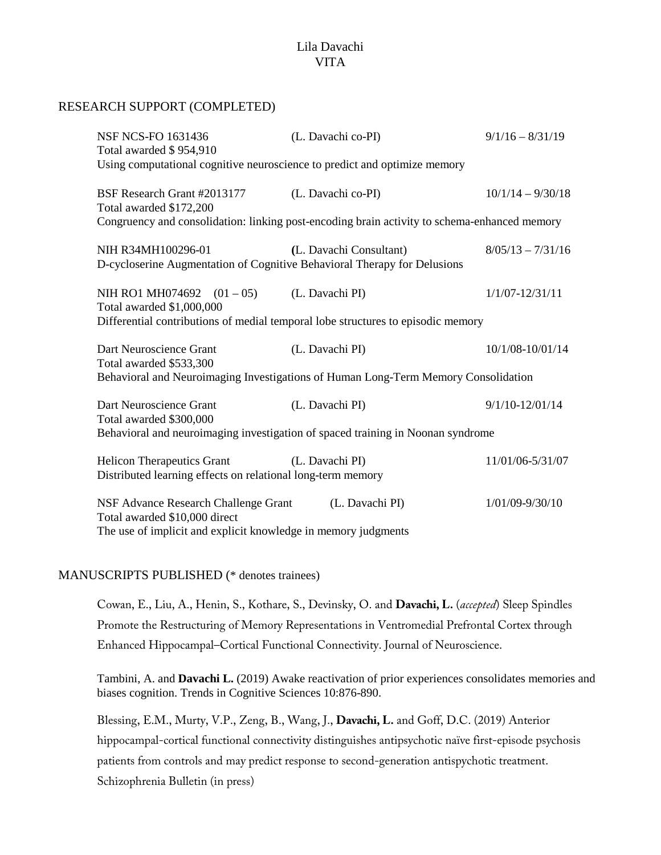#### RESEARCH SUPPORT (COMPLETED)

| <b>NSF NCS-FO 1631436</b><br>Total awarded \$954,910                                             | (L. Davachi co-PI)                                                                           | $9/1/16 - 8/31/19$  |
|--------------------------------------------------------------------------------------------------|----------------------------------------------------------------------------------------------|---------------------|
| Using computational cognitive neuroscience to predict and optimize memory                        |                                                                                              |                     |
| BSF Research Grant #2013177<br>Total awarded \$172,200                                           | (L. Davachi co-PI)                                                                           | $10/1/14 - 9/30/18$ |
|                                                                                                  | Congruency and consolidation: linking post-encoding brain activity to schema-enhanced memory |                     |
| NIH R34MH100296-01<br>D-cycloserine Augmentation of Cognitive Behavioral Therapy for Delusions   | (L. Davachi Consultant)                                                                      | $8/05/13 - 7/31/16$ |
| NIH RO1 MH074692 $(01-05)$<br>Total awarded \$1,000,000                                          | (L. Davachi PI)                                                                              | $1/1/07 - 12/31/11$ |
|                                                                                                  | Differential contributions of medial temporal lobe structures to episodic memory             |                     |
| Dart Neuroscience Grant<br>Total awarded \$533,300                                               | (L. Davachi PI)                                                                              | 10/1/08-10/01/14    |
| Behavioral and Neuroimaging Investigations of Human Long-Term Memory Consolidation               |                                                                                              |                     |
| Dart Neuroscience Grant<br>Total awarded \$300,000                                               | (L. Davachi PI)                                                                              | $9/1/10 - 12/01/14$ |
| Behavioral and neuroimaging investigation of spaced training in Noonan syndrome                  |                                                                                              |                     |
| <b>Helicon Therapeutics Grant</b><br>Distributed learning effects on relational long-term memory | (L. Davachi PI)                                                                              | 11/01/06-5/31/07    |
| NSF Advance Research Challenge Grant<br>Total awarded \$10,000 direct                            | (L. Davachi PI)                                                                              | 1/01/09-9/30/10     |
| The use of implicit and explicit knowledge in memory judgments                                   |                                                                                              |                     |

### MANUSCRIPTS PUBLISHED (\* denotes trainees)

Cowan, E., Liu, A., Henin, S., Kothare, S., Devinsky, O. and **Davachi, L.** (*accepted*) Sleep Spindles Promote the Restructuring of Memory Representations in Ventromedial Prefrontal Cortex through Enhanced Hippocampal–Cortical Functional Connectivity. Journal of Neuroscience.

Tambini, A. and **Davachi L.** (2019) Awake reactivation of prior experiences consolidates memories and biases cognition. Trends in Cognitive Sciences 10:876-890.

Blessing, E.M., Murty, V.P., Zeng, B., Wang, J., **Davachi, L.** and Goff, D.C. (2019) Anterior hippocampal-cortical functional connectivity distinguishes antipsychotic naïve first-episode psychosis patients from controls and may predict response to second-generation antispychotic treatment. Schizophrenia Bulletin (in press)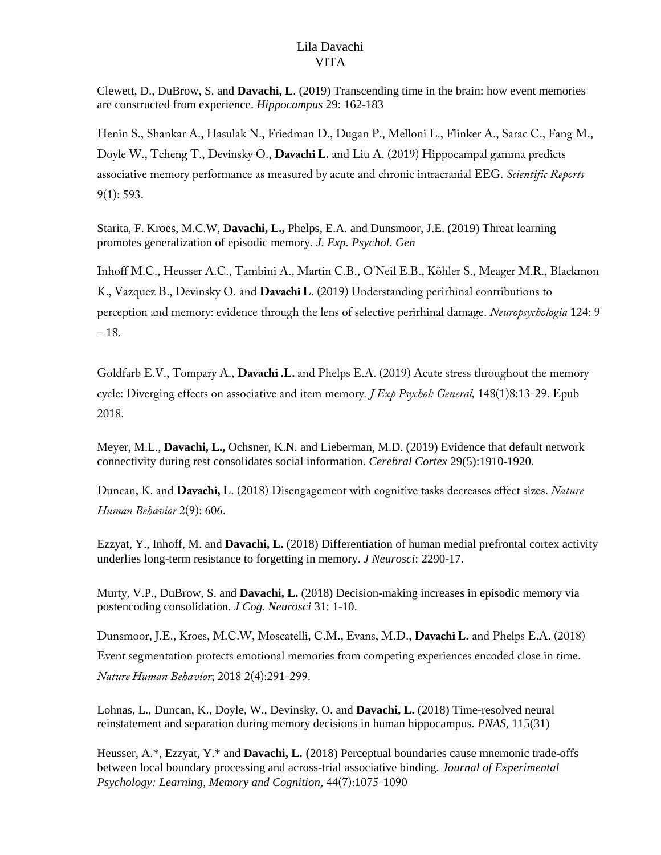Clewett, D., DuBrow, S. and **Davachi, L**. (2019) Transcending time in the brain: how event memories are constructed from experience. *Hippocampus* 29: 162-183

Henin S., Shankar A., Hasulak N., Friedman D., Dugan P., Melloni L., Flinker A., Sarac C., Fang M., Doyle W., Tcheng T., Devinsky O., **Davachi L.** and Liu A. (2019) Hippocampal gamma predicts associative memory performance as measured by acute and chronic intracranial EEG. *Scientific Reports* 9(1): 593.

Starita, F. Kroes, M.C.W, **Davachi, L.,** Phelps, E.A. and Dunsmoor, J.E. (2019) Threat learning promotes generalization of episodic memory. *J. Exp. Psychol. Gen*

Inhoff M.C., Heusser A.C., Tambini A., Martin C.B., O'Neil E.B., Köhler S., Meager M.R., Blackmon K., Vazquez B., Devinsky O. and **Davachi L**. (2019) Understanding perirhinal contributions to perception and memory: evidence through the lens of selective perirhinal damage. *Neuropsychologia* 124: 9  $-18.$ 

Goldfarb E.V., Tompary A., **Davachi .L.** and Phelps E.A. (2019) Acute stress throughout the memory cycle: Diverging effects on associative and item memory*. J Exp Psychol: General,* 148(1)8:13-29. Epub 2018.

Meyer, M.L., **Davachi, L.,** Ochsner, K.N. and Lieberman, M.D. (2019) Evidence that default network connectivity during rest consolidates social information. *Cerebral Cortex* 29(5):1910-1920.

Duncan, K. and **Davachi, L**. (2018) Disengagement with cognitive tasks decreases effect sizes. *Nature Human Behavior* 2(9): 606.

Ezzyat, Y., Inhoff, M. and **Davachi, L.** (2018) Differentiation of human medial prefrontal cortex activity underlies long-term resistance to forgetting in memory. *J Neurosci*: 2290-17.

Murty, V.P., DuBrow, S. and **Davachi, L.** (2018) Decision-making increases in episodic memory via postencoding consolidation. *J Cog. Neurosci* 31: 1-10.

Dunsmoor, J.E., Kroes, M.C.W, Moscatelli, C.M., Evans, M.D., **Davachi L.** and Phelps E.A. (2018) Event segmentation protects emotional memories from competing experiences encoded close in time. *Nature Human Behavior*; 2018 2(4):291-299.

Lohnas, L., Duncan, K., Doyle, W., Devinsky, O. and **Davachi, L.** (2018) Time-resolved neural reinstatement and separation during memory decisions in human hippocampus. *PNAS*, 115(31)

Heusser, A.\*, Ezzyat, Y.\* and **Davachi, L.** (2018) Perceptual boundaries cause mnemonic trade-offs between local boundary processing and across-trial associative binding. *Journal of Experimental Psychology: Learning, Memory and Cognition,* 44(7):1075-1090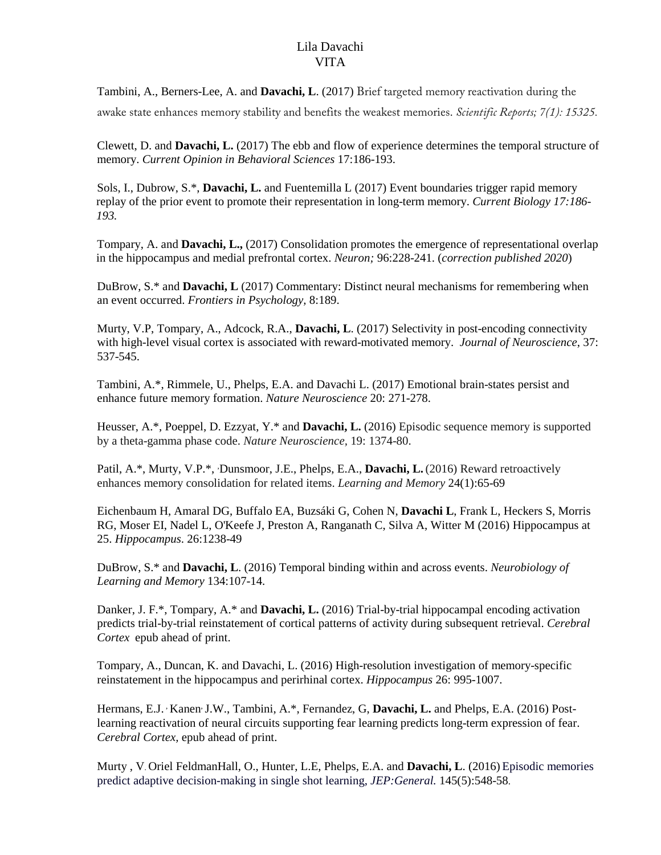Tambini, A., Berners-Lee, A. and **Davachi, L**. (2017) Brief targeted memory reactivation during the awake state enhances memory stability and benefits the weakest memories. *Scientific Reports; 7(1): 15325.*

Clewett, D. and **Davachi, L.** (2017) The ebb and flow of experience determines the temporal structure of memory. *Current Opinion in Behavioral Sciences* 17:186-193.

Sols, I., Dubrow, S.\*, **Davachi, L.** and Fuentemilla L (2017) Event boundaries trigger rapid memory replay of the prior event to promote their representation in long-term memory. *Current Biology 17:186- 193.*

Tompary, A. and **Davachi, L.,** (2017) Consolidation promotes the emergence of representational overlap in the hippocampus and medial prefrontal cortex. *Neuron;* 96:228-241. (*correction published 2020*)

DuBrow, S.\* and **Davachi, L** (2017) Commentary: Distinct neural mechanisms for remembering when an event occurred. *Frontiers in Psychology,* 8:189.

Murty, V.P, Tompary, A., Adcock, R.A., **Davachi, L**. (2017) Selectivity in post-encoding connectivity with high-level visual cortex is associated with reward-motivated memory. *Journal of Neuroscience*, 37: 537-545.

Tambini, A.\*, Rimmele, U., Phelps, E.A. and Davachi L. (2017) Emotional brain-states persist and enhance future memory formation. *Nature Neuroscience* 20: 271-278.

Heusser, A.\*, Poeppel, D. Ezzyat, Y.\* and **Davachi, L.** (2016) Episodic sequence memory is supported by a theta-gamma phase code. *Nature Neuroscience,* 19: 1374-80.

Patil, A.\*, Murty, V.P.\*, *Dunsmoor, J.E., Phelps, E.A., Davachi, L.* (2016) Reward retroactively enhances memory consolidation for related items. *Learning and Memory* 24(1):65-69

Eichenbaum H, Amaral DG, Buffalo EA, Buzsáki G, Cohen N, **Davachi L**, Frank L, Heckers S, Morris RG, Moser EI, Nadel L, O'Keefe J, Preston A, Ranganath C, Silva A, Witter M (2016) Hippocampus at 25. *Hippocampus*. 26:1238-49

DuBrow, S.\* and **Davachi, L**. (2016) Temporal binding within and across events. *Neurobiology of Learning and Memory* 134:107-14.

Danker, J. F.\*, Tompary, A.\* and **Davachi, L.** (2016) Trial-by-trial hippocampal encoding activation predicts trial-by-trial reinstatement of cortical patterns of activity during subsequent retrieval. *Cerebral Cortex* epub ahead of print.

Tompary, A., Duncan, K. and Davachi, L. (2016) High-resolution investigation of memory-specific reinstatement in the hippocampus and perirhinal cortex. *Hippocampus* 26: 995-1007.

Hermans, E.J. <sup>,</sup> Kanen<sup>,</sup> J.W., Tambini, A.\*, Fernandez, G, **Davachi, L.** and Phelps, E.A. (2016) Postlearning reactivation of neural circuits supporting fear learning predicts long-term expression of fear. *Cerebral Cortex,* epub ahead of print.

Murty , V. Oriel FeldmanHall, O., Hunter, L.E, Phelps, E.A. and **Davachi, L**. (2016) Episodic memories predict adaptive decision-making in single shot learning, *JEP:General.* 145(5):548-58.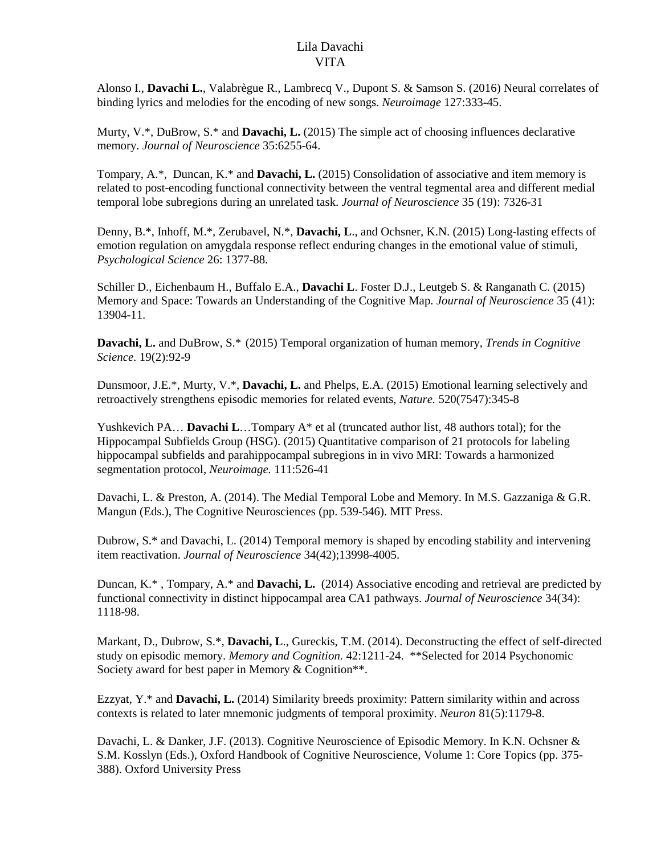Alonso I., **Davachi L.**, Valabrègue R., Lambrecq V., Dupont S. & Samson S. (2016) [Neural correlates of](http://www.ncbi.nlm.nih.gov/pubmed/26706449)  [binding lyrics and melodies for the encoding of new songs.](http://www.ncbi.nlm.nih.gov/pubmed/26706449) *Neuroimage* 127:333-45.

Murty, V.\*, DuBrow, S.\* and **Davachi, L.** (2015) The simple act of choosing influences declarative memory. *Journal of Neuroscience* 35:6255-64.

Tompary, A.\*, Duncan, K.\* and **Davachi, L.** (2015) Consolidation of associative and item memory is related to post-encoding functional connectivity between the ventral tegmental area and different medial temporal lobe subregions during an unrelated task. *Journal of Neuroscience* 35 (19): 7326-31

Denny, B.\*, Inhoff, M.\*, Zerubavel, N.\*, **Davachi, L**., and Ochsner, K.N. (2015) Long-lasting effects of emotion regulation on amygdala response reflect enduring changes in the emotional value of stimuli, *Psychological Science* 26: 1377-88.

Schiller D., Eichenbaum H., Buffalo E.A., **Davachi L**. Foster D.J., Leutgeb S. & Ranganath C. (2015) [Memory and Space: Towards an Understanding of the Cognitive Map.](http://www.ncbi.nlm.nih.gov/pubmed/26468191) *Journal of Neuroscience* 35 (41): 13904-11.

**Davachi, L.** and DuBrow, S.\* (2015) Temporal organization of human memory, *Trends in Cognitive Science.* 19(2):92-9

Dunsmoor, J.E.\*, Murty, V.\*, **Davachi, L.** and Phelps, E.A. (2015) Emotional learning selectively and retroactively strengthens episodic memories for related events, *Nature.* 520(7547):345-8

Yushkevich PA… **Davachi L**…Tompary A\* et al (truncated author list, 48 authors total); for the Hippocampal Subfields Group (HSG). (2015) Quantitative comparison of 21 protocols for labeling hippocampal subfields and parahippocampal subregions in in vivo MRI: Towards a harmonized segmentation protocol, *Neuroimage.* 111:526-41

Davachi, L. & Preston, A. (2014). The Medial Temporal Lobe and Memory. In M.S. Gazzaniga & G.R. Mangun (Eds.), The Cognitive Neurosciences (pp. 539-546). MIT Press.

Dubrow, S.\* and Davachi, L. (2014) Temporal memory is shaped by encoding stability and intervening item reactivation. *Journal of Neuroscience* 34(42);13998-4005.

Duncan, K.\* , Tompary, A.\* and **Davachi, L.** (2014) Associative encoding and retrieval are predicted by functional connectivity in distinct hippocampal area CA1 pathways. *Journal of Neuroscience* 34(34): 1118-98.

Markant, D., Dubrow, S.\*, **Davachi, L**., Gureckis, T.M. (2014). Deconstructing the effect of self-directed study on episodic memory. *Memory and Cognition.* 42:1211-24. \*\*Selected for 2014 Psychonomic Society award for best paper in Memory & Cognition\*\*.

Ezzyat, Y.\* and **Davachi, L.** (2014) Similarity breeds proximity: Pattern similarity within and across contexts is related to later mnemonic judgments of temporal proximity. *Neuron* 81(5):1179-8.

Davachi, L. & Danker, J.F. (2013). Cognitive Neuroscience of Episodic Memory. In K.N. Ochsner & S.M. Kosslyn (Eds.), Oxford Handbook of Cognitive Neuroscience, Volume 1: Core Topics (pp. 375- 388). Oxford University Press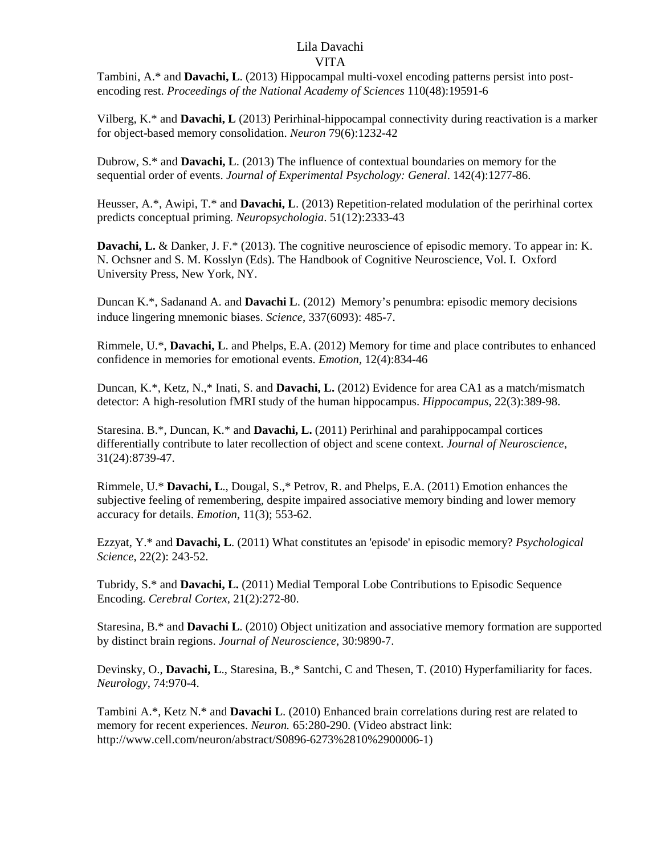Tambini, A.\* and **Davachi, L**. (2013) Hippocampal multi-voxel encoding patterns persist into postencoding rest. *Proceedings of the National Academy of Sciences* 110(48):19591-6

Vilberg, K.\* and **Davachi, L** (2013) Perirhinal-hippocampal connectivity during reactivation is a marker for object-based memory consolidation. *Neuron* 79(6):1232-42

Dubrow, S.\* and **Davachi, L**. (2013) The influence of contextual boundaries on memory for the sequential order of events. *Journal of Experimental Psychology: General*. 142(4):1277-86.

Heusser, A.\*, Awipi, T.\* and **Davachi, L**. (2013) Repetition-related modulation of the perirhinal cortex predicts conceptual priming*. Neuropsychologia*. 51(12):2333-43

**Davachi, L.** & Danker, J. F.\* (2013). The cognitive neuroscience of episodic memory. To appear in: K. N. Ochsner and S. M. Kosslyn (Eds). The Handbook of Cognitive Neuroscience, Vol. I. Oxford University Press, New York, NY.

Duncan K.\*, Sadanand A. and **Davachi L**. (2012) Memory's penumbra: episodic memory decisions induce lingering mnemonic biases. *Science*, 337(6093): 485-7.

Rimmele, U.\*, **Davachi, L**. and Phelps, E.A. (2012) Memory for time and place contributes to enhanced confidence in memories for emotional events. *Emotion*, 12(4):834-46

Duncan, K.\*, Ketz, N.,\* Inati, S. and **Davachi, L.** (2012) Evidence for area CA1 as a match/mismatch detector: A high-resolution fMRI study of the human hippocampus. *Hippocampus*, 22(3):389-98.

Staresina. B.\*, Duncan, K.\* and **Davachi, L.** (2011) Perirhinal and parahippocampal cortices differentially contribute to later recollection of object and scene context. *Journal of Neuroscience*, 31(24):8739-47.

Rimmele, U.\* **Davachi, L**., Dougal, S.,\* Petrov, R. and Phelps, E.A. (2011) Emotion enhances the subjective feeling of remembering, despite impaired associative memory binding and lower memory accuracy for details. *Emotion*, 11(3); 553-62.

Ezzyat, Y.\* and **Davachi, L**. (2011) What constitutes an 'episode' in episodic memory? *Psychological Science*, 22(2): 243-52.

Tubridy, S.\* and **Davachi, L.** (2011) Medial Temporal Lobe Contributions to Episodic Sequence Encoding. *Cerebral Cortex*, 21(2):272-80.

Staresina, B.\* and **Davachi L**. (2010) Object unitization and associative memory formation are supported by distinct brain regions. *Journal of Neuroscience*, 30:9890-7.

Devinsky, O., **Davachi, L**., Staresina, B.,\* Santchi, C and Thesen, T. (2010) Hyperfamiliarity for faces. *Neurology*, 74:970-4.

Tambini A.\*, Ketz N.\* and **Davachi L**. (2010) Enhanced brain correlations during rest are related to memory for recent experiences. *Neuron.* 65:280-290. (Video abstract link: http://www.cell.com/neuron/abstract/S0896-6273%2810%2900006-1)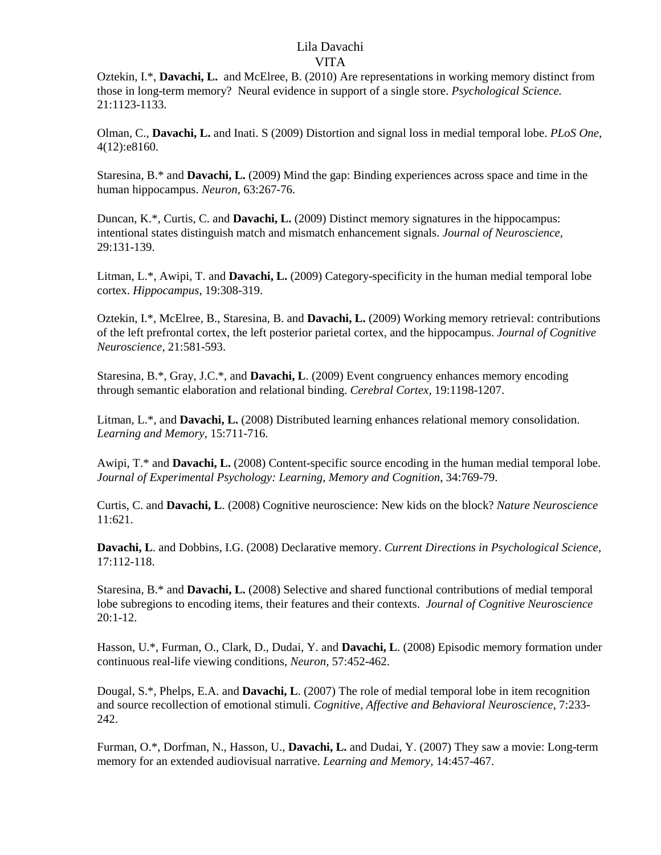Oztekin, I.\*, **Davachi, L.** and McElree, B. (2010) Are representations in working memory distinct from those in long-term memory? Neural evidence in support of a single store. *Psychological Science.* 21:1123-1133.

Olman, C., **Davachi, L.** and Inati. S (2009) Distortion and signal loss in medial temporal lobe. *PLoS One*, 4(12):e8160.

Staresina, B.\* and **Davachi, L.** (2009) Mind the gap: Binding experiences across space and time in the human hippocampus. *Neuron*, 63:267-76.

Duncan, K.\*, Curtis, C. and **Davachi, L.** (2009) Distinct memory signatures in the hippocampus: intentional states distinguish match and mismatch enhancement signals. *Journal of Neuroscience,* 29:131-139.

Litman, L.\*, Awipi, T. and **Davachi, L.** (2009) Category-specificity in the human medial temporal lobe cortex. *Hippocampus*, 19:308-319.

Oztekin, I.\*, McElree, B., Staresina, B. and **Davachi, L.** (2009) Working memory retrieval: contributions of the left prefrontal cortex, the left posterior parietal cortex, and the hippocampus. *Journal of Cognitive Neuroscience*, 21:581-593.

Staresina, B.\*, Gray, J.C.\*, and **Davachi, L**. (2009) Event congruency enhances memory encoding through semantic elaboration and relational binding. *Cerebral Cortex,* 19:1198-1207.

Litman, L.\*, and **Davachi, L.** (2008) Distributed learning enhances relational memory consolidation. *Learning and Memory*, 15:711-716.

Awipi, T.\* and **Davachi, L.** (2008) Content-specific source encoding in the human medial temporal lobe. *Journal of Experimental Psychology: Learning, Memory and Cognition*, 34:769-79.

Curtis, C. and **Davachi, L**. (2008) Cognitive neuroscience: New kids on the block? *Nature Neuroscience*  11:621.

**Davachi, L**. and Dobbins, I.G. (2008) Declarative memory. *Current Directions in Psychological Science*, 17:112-118.

Staresina, B.\* and **Davachi, L.** (2008) Selective and shared functional contributions of medial temporal lobe subregions to encoding items, their features and their contexts. *Journal of Cognitive Neuroscience* 20:1-12.

Hasson, U.\*, Furman, O., Clark, D., Dudai, Y. and **Davachi, L**. (2008) Episodic memory formation under continuous real-life viewing conditions, *Neuron*, 57:452-462.

Dougal, S.\*, Phelps, E.A. and **Davachi, L**. (2007) The role of medial temporal lobe in item recognition and source recollection of emotional stimuli. *Cognitive, Affective and Behavioral Neuroscience*, 7:233- 242.

Furman, O.\*, Dorfman, N., Hasson, U., **Davachi, L.** and Dudai, Y. (2007) They saw a movie: Long-term memory for an extended audiovisual narrative. *Learning and Memory,* 14:457-467.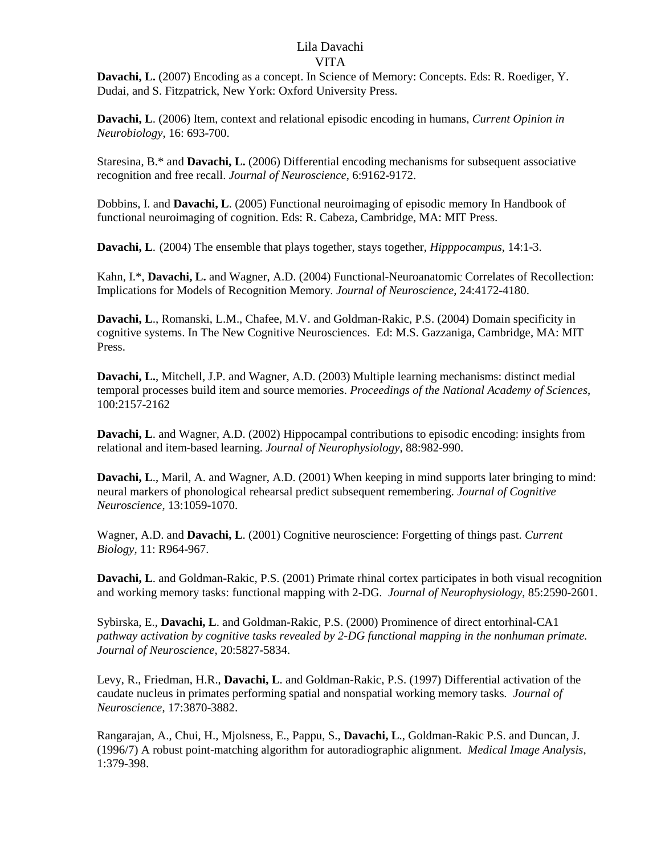**Davachi, L.** (2007) Encoding as a concept. In Science of Memory: Concepts. Eds: R. Roediger, Y. Dudai, and S. Fitzpatrick, New York: Oxford University Press.

**Davachi, L**. (2006) Item, context and relational episodic encoding in humans, *Current Opinion in Neurobiology*, 16: 693-700.

Staresina, B.\* and **Davachi, L.** (2006) Differential encoding mechanisms for subsequent associative recognition and free recall. *Journal of Neuroscience*, 6:9162-9172.

Dobbins, I. and **Davachi, L**. (2005) Functional neuroimaging of episodic memory In Handbook of functional neuroimaging of cognition. Eds: R. Cabeza, Cambridge, MA: MIT Press.

**Davachi, L**. (2004) The ensemble that plays together, stays together, *Hipppocampus*, 14:1-3.

Kahn, I.\*, **Davachi, L.** and Wagner, A.D. (2004) Functional-Neuroanatomic Correlates of Recollection: Implications for Models of Recognition Memory*. Journal of Neuroscience*, 24:4172-4180.

**Davachi, L**., Romanski, L.M., Chafee, M.V. and Goldman-Rakic, P.S. (2004) Domain specificity in cognitive systems. In The New Cognitive Neurosciences. Ed: M.S. Gazzaniga, Cambridge, MA: MIT Press.

**Davachi, L.**, Mitchell, J.P. and Wagner, A.D. (2003) Multiple learning mechanisms: distinct medial temporal processes build item and source memories. *Proceedings of the National Academy of Sciences*, 100:2157-2162

**Davachi, L**. and Wagner, A.D. (2002) Hippocampal contributions to episodic encoding: insights from relational and item-based learning. *Journal of Neurophysiology*, 88:982-990.

**Davachi, L**., Maril, A. and Wagner, A.D. (2001) When keeping in mind supports later bringing to mind: neural markers of phonological rehearsal predict subsequent remembering. *Journal of Cognitive Neuroscience*, 13:1059-1070.

Wagner, A.D. and **Davachi, L**. (2001) Cognitive neuroscience: Forgetting of things past. *Current Biology,* 11: R964-967.

**Davachi, L.** and Goldman-Rakic, P.S. (2001) Primate rhinal cortex participates in both visual recognition and working memory tasks: functional mapping with 2-DG. *Journal of Neurophysiology*, 85:2590-2601.

Sybirska, E., **Davachi, L**. and Goldman-Rakic, P.S. (2000) Prominence of direct entorhinal-CA1 *pathway activation by cognitive tasks revealed by 2-DG functional mapping in the nonhuman primate. Journal of Neuroscience*, 20:5827-5834.

Levy, R., Friedman, H.R., **Davachi, L**. and Goldman-Rakic, P.S. (1997) Differential activation of the caudate nucleus in primates performing spatial and nonspatial working memory tasks*. Journal of Neuroscience*, 17:3870-3882.

Rangarajan, A., Chui, H., Mjolsness, E., Pappu, S., **Davachi, L**., Goldman-Rakic P.S. and Duncan, J. (1996/7) A robust point-matching algorithm for autoradiographic alignment. *Medical Image Analysis*, 1:379-398.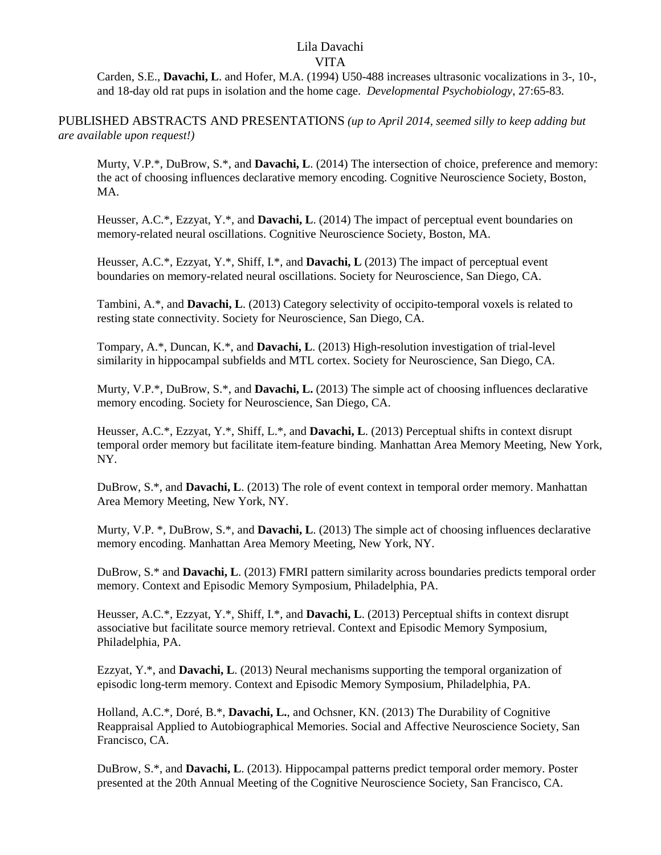Carden, S.E., **Davachi, L**. and Hofer, M.A. (1994) U50-488 increases ultrasonic vocalizations in 3-, 10-, and 18-day old rat pups in isolation and the home cage. *Developmental Psychobiology*, 27:65-83.

PUBLISHED ABSTRACTS AND PRESENTATIONS *(up to April 2014, seemed silly to keep adding but are available upon request!)*

Murty, V.P.\*, DuBrow, S.\*, and **Davachi, L**. (2014) The intersection of choice, preference and memory: the act of choosing influences declarative memory encoding. Cognitive Neuroscience Society, Boston, MA.

Heusser, A.C.\*, Ezzyat, Y.\*, and **Davachi, L**. (2014) The impact of perceptual event boundaries on memory-related neural oscillations. Cognitive Neuroscience Society, Boston, MA.

Heusser, A.C.\*, Ezzyat, Y.\*, Shiff, I.\*, and **Davachi, L** (2013) The impact of perceptual event boundaries on memory-related neural oscillations. Society for Neuroscience, San Diego, CA.

Tambini, A.\*, and **Davachi, L**. (2013) Category selectivity of occipito-temporal voxels is related to resting state connectivity. Society for Neuroscience, San Diego, CA.

Tompary, A.\*, Duncan, K.\*, and **Davachi, L**. (2013) High-resolution investigation of trial-level similarity in hippocampal subfields and MTL cortex. Society for Neuroscience, San Diego, CA.

Murty, V.P.\*, DuBrow, S.\*, and **Davachi, L.** (2013) The simple act of choosing influences declarative memory encoding. Society for Neuroscience, San Diego, CA.

Heusser, A.C.\*, Ezzyat, Y.\*, Shiff, L.\*, and **Davachi, L**. (2013) Perceptual shifts in context disrupt temporal order memory but facilitate item-feature binding. Manhattan Area Memory Meeting, New York, NY.

DuBrow, S.\*, and **Davachi, L**. (2013) The role of event context in temporal order memory. Manhattan Area Memory Meeting, New York, NY.

Murty, V.P. \*, DuBrow, S.\*, and **Davachi, L**. (2013) The simple act of choosing influences declarative memory encoding. Manhattan Area Memory Meeting, New York, NY.

DuBrow, S.\* and **Davachi, L**. (2013) FMRI pattern similarity across boundaries predicts temporal order memory. Context and Episodic Memory Symposium, Philadelphia, PA.

Heusser, A.C.\*, Ezzyat, Y.\*, Shiff, I.\*, and **Davachi, L**. (2013) Perceptual shifts in context disrupt associative but facilitate source memory retrieval. Context and Episodic Memory Symposium, Philadelphia, PA.

Ezzyat, Y.\*, and **Davachi, L**. (2013) Neural mechanisms supporting the temporal organization of episodic long-term memory. Context and Episodic Memory Symposium, Philadelphia, PA.

Holland, A.C.\*, Doré, B.\*, **Davachi, L.**, and Ochsner, KN. (2013) The Durability of Cognitive Reappraisal Applied to Autobiographical Memories. Social and Affective Neuroscience Society, San Francisco, CA.

DuBrow, S.\*, and **Davachi, L**. (2013). Hippocampal patterns predict temporal order memory. Poster presented at the 20th Annual Meeting of the Cognitive Neuroscience Society, San Francisco, CA.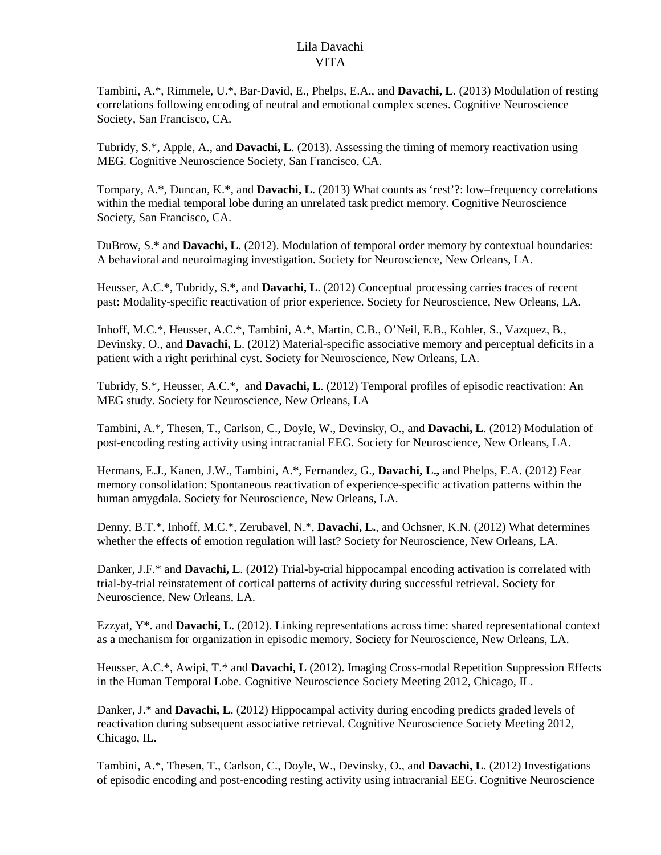Tambini, A.\*, Rimmele, U.\*, Bar-David, E., Phelps, E.A., and **Davachi, L**. (2013) Modulation of resting correlations following encoding of neutral and emotional complex scenes. Cognitive Neuroscience Society, San Francisco, CA.

Tubridy, S.\*, Apple, A., and **Davachi, L**. (2013). Assessing the timing of memory reactivation using MEG. Cognitive Neuroscience Society, San Francisco, CA.

Tompary, A.\*, Duncan, K.\*, and **Davachi, L**. (2013) What counts as 'rest'?: low–frequency correlations within the medial temporal lobe during an unrelated task predict memory. Cognitive Neuroscience Society, San Francisco, CA.

DuBrow, S.\* and **Davachi, L**. (2012). Modulation of temporal order memory by contextual boundaries: A behavioral and neuroimaging investigation. Society for Neuroscience, New Orleans, LA.

Heusser, A.C.\*, Tubridy, S.\*, and **Davachi, L**. (2012) Conceptual processing carries traces of recent past: Modality-specific reactivation of prior experience. Society for Neuroscience, New Orleans, LA.

Inhoff, M.C.\*, Heusser, A.C.\*, Tambini, A.\*, Martin, C.B., O'Neil, E.B., Kohler, S., Vazquez, B., Devinsky, O., and **Davachi, L**. (2012) Material-specific associative memory and perceptual deficits in a patient with a right perirhinal cyst. Society for Neuroscience, New Orleans, LA.

Tubridy, S.\*, Heusser, A.C.\*, and **Davachi, L**. (2012) Temporal profiles of episodic reactivation: An MEG study. Society for Neuroscience, New Orleans, LA

Tambini, A.\*, Thesen, T., Carlson, C., Doyle, W., Devinsky, O., and **Davachi, L**. (2012) Modulation of post-encoding resting activity using intracranial EEG. Society for Neuroscience, New Orleans, LA.

Hermans, E.J., Kanen, J.W., Tambini, A.\*, Fernandez, G., **Davachi, L.,** and Phelps, E.A. (2012) Fear memory consolidation: Spontaneous reactivation of experience-specific activation patterns within the human amygdala. Society for Neuroscience, New Orleans, LA.

Denny, B.T.\*, Inhoff, M.C.\*, Zerubavel, N.\*, **Davachi, L.**, and Ochsner, K.N. (2012) What determines whether the effects of emotion regulation will last? Society for Neuroscience, New Orleans, LA.

Danker, J.F.\* and **Davachi, L**. (2012) Trial-by-trial hippocampal encoding activation is correlated with trial-by-trial reinstatement of cortical patterns of activity during successful retrieval. Society for Neuroscience, New Orleans, LA.

Ezzyat, Y\*. and **Davachi, L**. (2012). Linking representations across time: shared representational context as a mechanism for organization in episodic memory. Society for Neuroscience, New Orleans, LA.

Heusser, A.C.\*, Awipi, T.\* and **Davachi, L** (2012). Imaging Cross-modal Repetition Suppression Effects in the Human Temporal Lobe. Cognitive Neuroscience Society Meeting 2012, Chicago, IL.

Danker, J.\* and **Davachi, L**. (2012) Hippocampal activity during encoding predicts graded levels of reactivation during subsequent associative retrieval. Cognitive Neuroscience Society Meeting 2012, Chicago, IL.

Tambini, A.\*, Thesen, T., Carlson, C., Doyle, W., Devinsky, O., and **Davachi, L**. (2012) Investigations of episodic encoding and post-encoding resting activity using intracranial EEG. Cognitive Neuroscience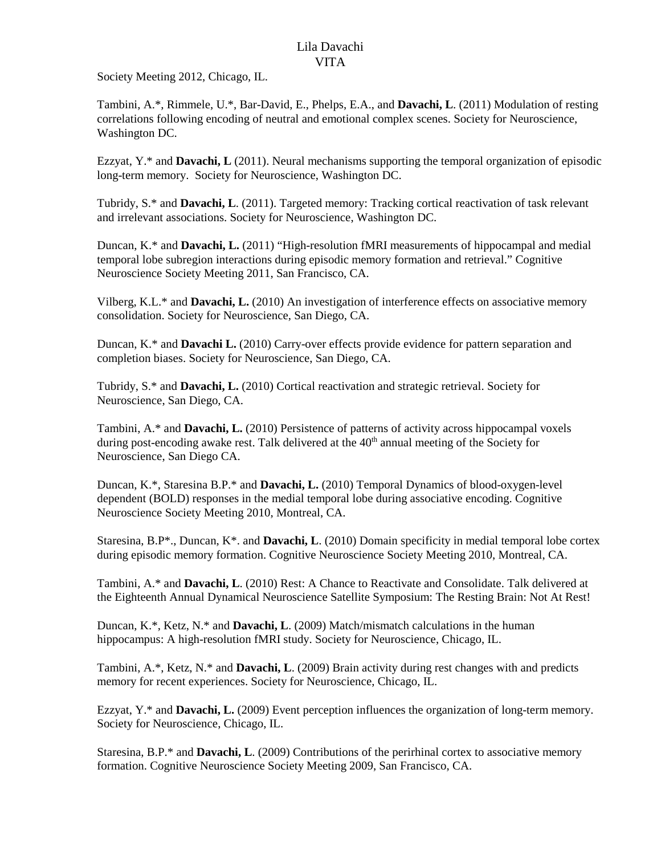Society Meeting 2012, Chicago, IL.

Tambini, A.\*, Rimmele, U.\*, Bar-David, E., Phelps, E.A., and **Davachi, L**. (2011) Modulation of resting correlations following encoding of neutral and emotional complex scenes. Society for Neuroscience, Washington DC.

Ezzyat, Y.\* and **Davachi, L** (2011). Neural mechanisms supporting the temporal organization of episodic long-term memory. Society for Neuroscience, Washington DC.

Tubridy, S.\* and **Davachi, L**. (2011). Targeted memory: Tracking cortical reactivation of task relevant and irrelevant associations. Society for Neuroscience, Washington DC.

Duncan, K.\* and **Davachi, L.** (2011) "High-resolution fMRI measurements of hippocampal and medial temporal lobe subregion interactions during episodic memory formation and retrieval." Cognitive Neuroscience Society Meeting 2011, San Francisco, CA.

Vilberg, K.L.\* and **Davachi, L.** (2010) An investigation of interference effects on associative memory consolidation. Society for Neuroscience, San Diego, CA.

Duncan, K.\* and **Davachi L.** (2010) Carry-over effects provide evidence for pattern separation and completion biases. Society for Neuroscience, San Diego, CA.

Tubridy, S.\* and **Davachi, L.** (2010) Cortical reactivation and strategic retrieval. Society for Neuroscience, San Diego, CA.

Tambini, A.\* and **Davachi, L.** (2010) Persistence of patterns of activity across hippocampal voxels during post-encoding awake rest. Talk delivered at the  $40<sup>th</sup>$  annual meeting of the Society for Neuroscience, San Diego CA.

Duncan, K.\*, Staresina B.P.\* and **Davachi, L.** (2010) Temporal Dynamics of blood-oxygen-level dependent (BOLD) responses in the medial temporal lobe during associative encoding. Cognitive Neuroscience Society Meeting 2010, Montreal, CA.

Staresina, B.P\*., Duncan, K\*. and **Davachi, L**. (2010) Domain specificity in medial temporal lobe cortex during episodic memory formation. Cognitive Neuroscience Society Meeting 2010, Montreal, CA.

Tambini, A.\* and **Davachi, L**. (2010) Rest: A Chance to Reactivate and Consolidate. Talk delivered at the Eighteenth Annual Dynamical Neuroscience Satellite Symposium: The Resting Brain: Not At Rest!

Duncan, K.\*, Ketz, N.\* and **Davachi, L**. (2009) Match/mismatch calculations in the human hippocampus: A high-resolution fMRI study. Society for Neuroscience, Chicago, IL.

Tambini, A.\*, Ketz, N.\* and **Davachi, L**. (2009) Brain activity during rest changes with and predicts memory for recent experiences. Society for Neuroscience, Chicago, IL.

Ezzyat, Y.\* and **Davachi, L.** (2009) Event perception influences the organization of long-term memory. Society for Neuroscience, Chicago, IL.

Staresina, B.P.\* and **Davachi, L**. (2009) Contributions of the perirhinal cortex to associative memory formation. Cognitive Neuroscience Society Meeting 2009, San Francisco, CA.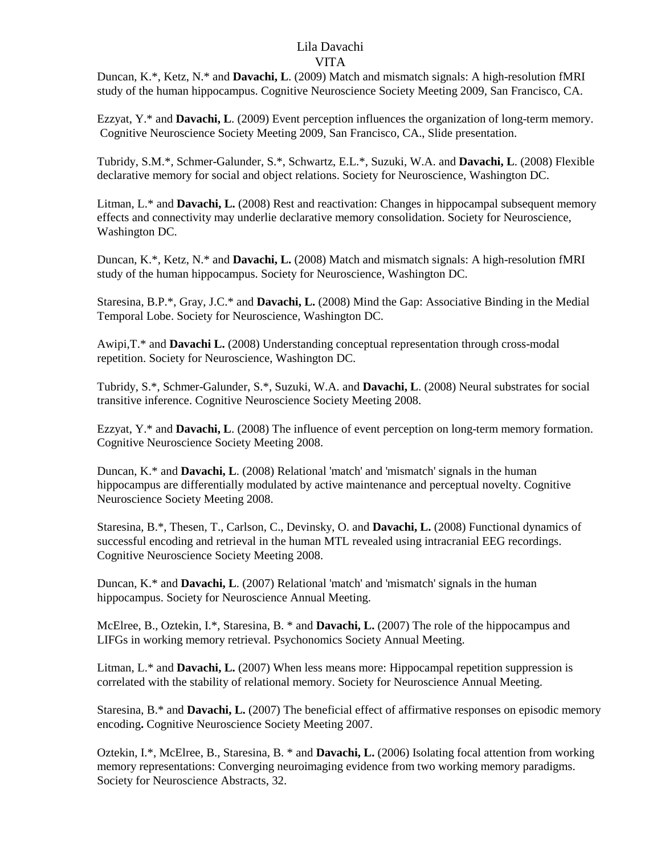Duncan, K.\*, Ketz, N.\* and **Davachi, L**. (2009) Match and mismatch signals: A high-resolution fMRI study of the human hippocampus. Cognitive Neuroscience Society Meeting 2009, San Francisco, CA.

Ezzyat, Y.\* and **Davachi, L**. (2009) Event perception influences the organization of long-term memory. Cognitive Neuroscience Society Meeting 2009, San Francisco, CA., Slide presentation.

Tubridy, S.M.\*, Schmer-Galunder, S.\*, Schwartz, E.L.\*, Suzuki, W.A. and **Davachi, L**. (2008) Flexible declarative memory for social and object relations. Society for Neuroscience, Washington DC.

Litman, L.\* and **Davachi, L.** (2008) Rest and reactivation: Changes in hippocampal subsequent memory effects and connectivity may underlie declarative memory consolidation. Society for Neuroscience, Washington DC.

Duncan, K.\*, Ketz, N.\* and **Davachi, L.** (2008) Match and mismatch signals: A high-resolution fMRI study of the human hippocampus. Society for Neuroscience, Washington DC.

Staresina, B.P.\*, Gray, J.C.\* and **Davachi, L.** (2008) Mind the Gap: Associative Binding in the Medial Temporal Lobe. Society for Neuroscience, Washington DC.

Awipi,T.\* and **Davachi L.** (2008) Understanding conceptual representation through cross-modal repetition. Society for Neuroscience, Washington DC.

Tubridy, S.\*, Schmer-Galunder, S.\*, Suzuki, W.A. and **Davachi, L**. (2008) Neural substrates for social transitive inference. Cognitive Neuroscience Society Meeting 2008.

Ezzyat, Y.\* and **Davachi, L**. (2008) The influence of event perception on long-term memory formation. Cognitive Neuroscience Society Meeting 2008.

Duncan, K.\* and **Davachi, L**. (2008) Relational 'match' and 'mismatch' signals in the human hippocampus are differentially modulated by active maintenance and perceptual novelty. Cognitive Neuroscience Society Meeting 2008.

Staresina, B.\*, Thesen, T., Carlson, C., Devinsky, O. and **Davachi, L.** (2008) Functional dynamics of successful encoding and retrieval in the human MTL revealed using intracranial EEG recordings. Cognitive Neuroscience Society Meeting 2008.

Duncan, K.\* and **Davachi, L**. (2007) Relational 'match' and 'mismatch' signals in the human hippocampus. Society for Neuroscience Annual Meeting.

McElree, B., Oztekin, I.\*, Staresina, B. \* and **Davachi, L.** (2007) The role of the hippocampus and LIFGs in working memory retrieval. Psychonomics Society Annual Meeting.

Litman, L.\* and **Davachi, L.** (2007) When less means more: Hippocampal repetition suppression is correlated with the stability of relational memory. Society for Neuroscience Annual Meeting.

Staresina, B.\* and **Davachi, L.** (2007) The beneficial effect of affirmative responses on episodic memory encoding**.** Cognitive Neuroscience Society Meeting 2007.

Oztekin, I.\*, McElree, B., Staresina, B. \* and **Davachi, L.** (2006) Isolating focal attention from working memory representations: Converging neuroimaging evidence from two working memory paradigms. Society for Neuroscience Abstracts, 32.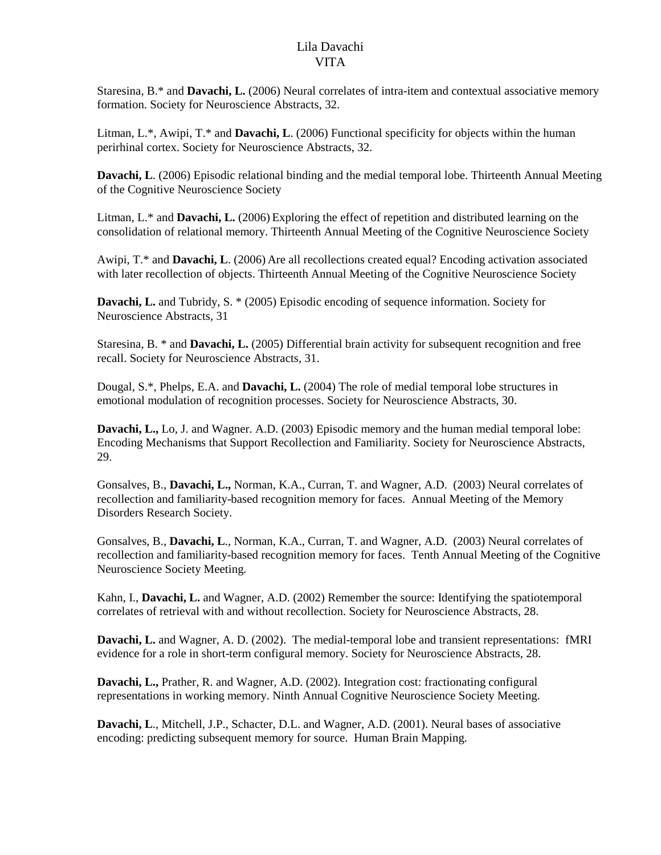Staresina, B.\* and **Davachi, L.** (2006) Neural correlates of intra-item and contextual associative memory formation. Society for Neuroscience Abstracts, 32.

Litman, L.\*, Awipi, T.\* and **Davachi, L**. (2006) Functional specificity for objects within the human perirhinal cortex. Society for Neuroscience Abstracts, 32.

**Davachi, L**. (2006) Episodic relational binding and the medial temporal lobe. Thirteenth Annual Meeting of the Cognitive Neuroscience Society

Litman, L.\* and **Davachi, L.** (2006) Exploring the effect of repetition and distributed learning on the consolidation of relational memory. Thirteenth Annual Meeting of the Cognitive Neuroscience Society

Awipi, T.\* and **Davachi, L**. (2006) Are all recollections created equal? Encoding activation associated with later recollection of objects. Thirteenth Annual Meeting of the Cognitive Neuroscience Society

**Davachi, L.** and Tubridy, S. \* (2005) Episodic encoding of sequence information. Society for Neuroscience Abstracts, 31

Staresina, B. \* and **Davachi, L.** (2005) Differential brain activity for subsequent recognition and free recall. Society for Neuroscience Abstracts, 31.

Dougal, S.\*, Phelps, E.A. and **Davachi, L.** (2004) The role of medial temporal lobe structures in emotional modulation of recognition processes. Society for Neuroscience Abstracts, 30.

**Davachi, L.,** Lo, J. and Wagner. A.D. (2003) Episodic memory and the human medial temporal lobe: Encoding Mechanisms that Support Recollection and Familiarity. Society for Neuroscience Abstracts, 29.

Gonsalves, B., **Davachi, L.,** Norman, K.A., Curran, T. and Wagner, A.D. (2003) Neural correlates of recollection and familiarity-based recognition memory for faces. Annual Meeting of the Memory Disorders Research Society.

Gonsalves, B., **Davachi, L**., Norman, K.A., Curran, T. and Wagner, A.D. (2003) Neural correlates of recollection and familiarity-based recognition memory for faces. Tenth Annual Meeting of the Cognitive Neuroscience Society Meeting.

Kahn, I., **Davachi, L.** and Wagner, A.D. (2002) Remember the source: Identifying the spatiotemporal correlates of retrieval with and without recollection. Society for Neuroscience Abstracts, 28.

**Davachi, L.** and Wagner, A. D. (2002). The medial-temporal lobe and transient representations: fMRI evidence for a role in short-term configural memory. Society for Neuroscience Abstracts, 28.

**Davachi, L.,** Prather, R. and Wagner, A.D. (2002). Integration cost: fractionating configural representations in working memory. Ninth Annual Cognitive Neuroscience Society Meeting.

**Davachi, L**., Mitchell, J.P., Schacter, D.L. and Wagner, A.D. (2001). Neural bases of associative encoding: predicting subsequent memory for source. Human Brain Mapping.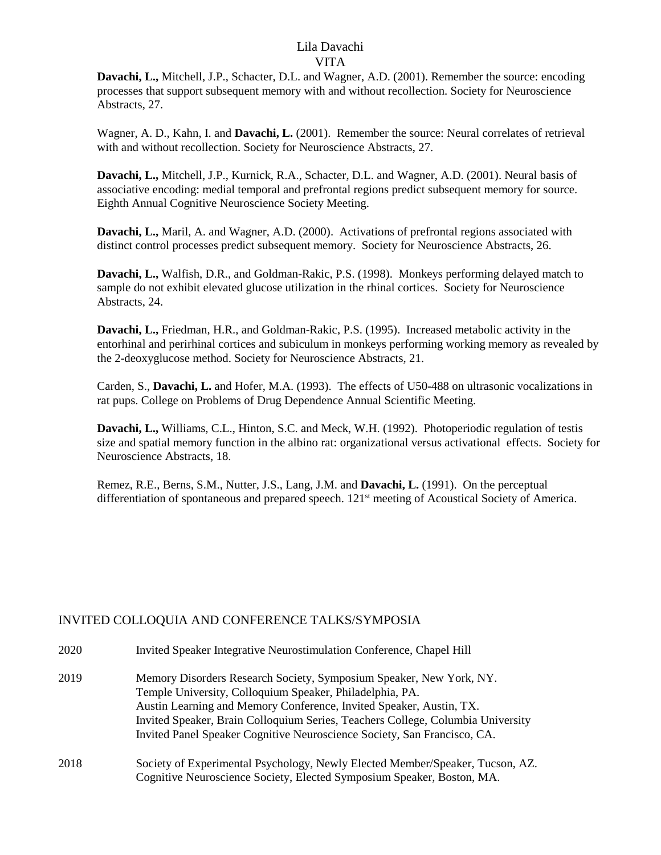**Davachi, L.,** Mitchell, J.P., Schacter, D.L. and Wagner, A.D. (2001). Remember the source: encoding processes that support subsequent memory with and without recollection. Society for Neuroscience Abstracts, 27.

Wagner, A. D., Kahn, I. and **Davachi, L.** (2001). Remember the source: Neural correlates of retrieval with and without recollection. Society for Neuroscience Abstracts, 27.

**Davachi, L.,** Mitchell, J.P., Kurnick, R.A., Schacter, D.L. and Wagner, A.D. (2001). Neural basis of associative encoding: medial temporal and prefrontal regions predict subsequent memory for source. Eighth Annual Cognitive Neuroscience Society Meeting.

**Davachi, L.,** Maril, A. and Wagner, A.D. (2000). Activations of prefrontal regions associated with distinct control processes predict subsequent memory. Society for Neuroscience Abstracts, 26.

**Davachi, L.,** Walfish, D.R., and Goldman-Rakic, P.S. (1998). Monkeys performing delayed match to sample do not exhibit elevated glucose utilization in the rhinal cortices. Society for Neuroscience Abstracts, 24.

**Davachi, L.,** Friedman, H.R., and Goldman-Rakic, P.S. (1995). Increased metabolic activity in the entorhinal and perirhinal cortices and subiculum in monkeys performing working memory as revealed by the 2-deoxyglucose method. Society for Neuroscience Abstracts, 21.

Carden, S., **Davachi, L.** and Hofer, M.A. (1993). The effects of U50-488 on ultrasonic vocalizations in rat pups. College on Problems of Drug Dependence Annual Scientific Meeting.

**Davachi, L.,** Williams, C.L., Hinton, S.C. and Meck, W.H. (1992). Photoperiodic regulation of testis size and spatial memory function in the albino rat: organizational versus activational effects. Society for Neuroscience Abstracts, 18.

Remez, R.E., Berns, S.M., Nutter, J.S., Lang, J.M. and **Davachi, L.** (1991). On the perceptual differentiation of spontaneous and prepared speech. 121<sup>st</sup> meeting of Acoustical Society of America.

# INVITED COLLOQUIA AND CONFERENCE TALKS/SYMPOSIA

| 2020 | Invited Speaker Integrative Neurostimulation Conference, Chapel Hill                                                            |
|------|---------------------------------------------------------------------------------------------------------------------------------|
| 2019 | Memory Disorders Research Society, Symposium Speaker, New York, NY.<br>Temple University, Colloquium Speaker, Philadelphia, PA. |
|      | Austin Learning and Memory Conference, Invited Speaker, Austin, TX.                                                             |
|      | Invited Speaker, Brain Colloquium Series, Teachers College, Columbia University                                                 |
|      | Invited Panel Speaker Cognitive Neuroscience Society, San Francisco, CA.                                                        |
| 2018 | Society of Experimental Psychology, Newly Elected Member/Speaker, Tucson, AZ.                                                   |
|      | Cognitive Neuroscience Society, Elected Symposium Speaker, Boston, MA.                                                          |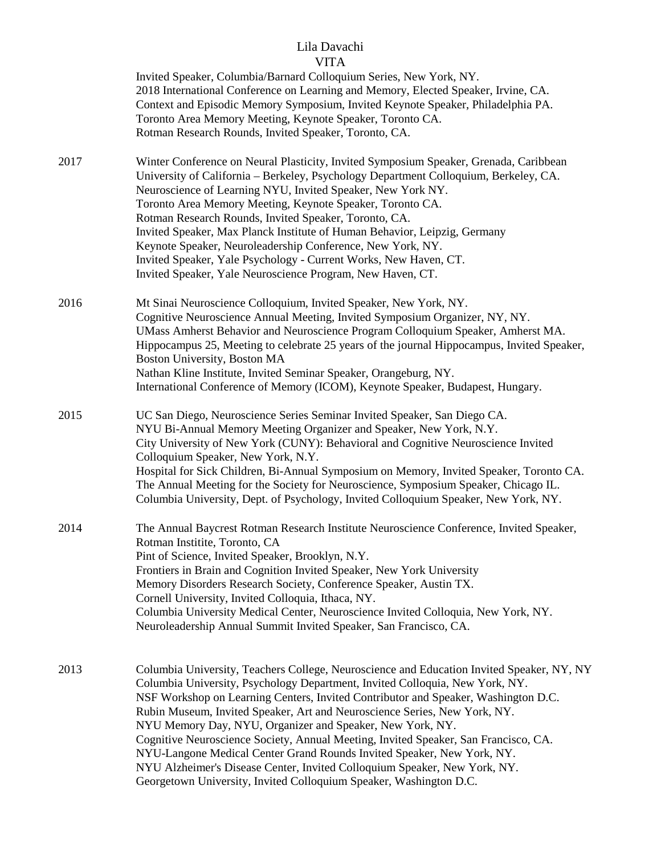|      | VIIIA                                                                                                                                                                                                                                        |
|------|----------------------------------------------------------------------------------------------------------------------------------------------------------------------------------------------------------------------------------------------|
|      | Invited Speaker, Columbia/Barnard Colloquium Series, New York, NY.                                                                                                                                                                           |
|      | 2018 International Conference on Learning and Memory, Elected Speaker, Irvine, CA.                                                                                                                                                           |
|      | Context and Episodic Memory Symposium, Invited Keynote Speaker, Philadelphia PA.                                                                                                                                                             |
|      | Toronto Area Memory Meeting, Keynote Speaker, Toronto CA.                                                                                                                                                                                    |
|      | Rotman Research Rounds, Invited Speaker, Toronto, CA.                                                                                                                                                                                        |
| 2017 | Winter Conference on Neural Plasticity, Invited Symposium Speaker, Grenada, Caribbean<br>University of California - Berkeley, Psychology Department Colloquium, Berkeley, CA.<br>Neuroscience of Learning NYU, Invited Speaker, New York NY. |
|      | Toronto Area Memory Meeting, Keynote Speaker, Toronto CA.                                                                                                                                                                                    |
|      | Rotman Research Rounds, Invited Speaker, Toronto, CA.                                                                                                                                                                                        |
|      | Invited Speaker, Max Planck Institute of Human Behavior, Leipzig, Germany<br>Keynote Speaker, Neuroleadership Conference, New York, NY.                                                                                                      |
|      | Invited Speaker, Yale Psychology - Current Works, New Haven, CT.                                                                                                                                                                             |
|      | Invited Speaker, Yale Neuroscience Program, New Haven, CT.                                                                                                                                                                                   |
|      |                                                                                                                                                                                                                                              |
| 2016 | Mt Sinai Neuroscience Colloquium, Invited Speaker, New York, NY.                                                                                                                                                                             |
|      | Cognitive Neuroscience Annual Meeting, Invited Symposium Organizer, NY, NY.                                                                                                                                                                  |
|      | UMass Amherst Behavior and Neuroscience Program Colloquium Speaker, Amherst MA.<br>Hippocampus 25, Meeting to celebrate 25 years of the journal Hippocampus, Invited Speaker,                                                                |
|      | Boston University, Boston MA<br>Nathan Kline Institute, Invited Seminar Speaker, Orangeburg, NY.                                                                                                                                             |
|      | International Conference of Memory (ICOM), Keynote Speaker, Budapest, Hungary.                                                                                                                                                               |
| 2015 | UC San Diego, Neuroscience Series Seminar Invited Speaker, San Diego CA.                                                                                                                                                                     |
|      | NYU Bi-Annual Memory Meeting Organizer and Speaker, New York, N.Y.                                                                                                                                                                           |
|      | City University of New York (CUNY): Behavioral and Cognitive Neuroscience Invited                                                                                                                                                            |
|      | Colloquium Speaker, New York, N.Y.                                                                                                                                                                                                           |
|      | Hospital for Sick Children, Bi-Annual Symposium on Memory, Invited Speaker, Toronto CA.<br>The Annual Meeting for the Society for Neuroscience, Symposium Speaker, Chicago IL.                                                               |
|      | Columbia University, Dept. of Psychology, Invited Colloquium Speaker, New York, NY.                                                                                                                                                          |
| 2014 | The Annual Baycrest Rotman Research Institute Neuroscience Conference, Invited Speaker,<br>Rotman Institite, Toronto, CA                                                                                                                     |
|      | Pint of Science, Invited Speaker, Brooklyn, N.Y.                                                                                                                                                                                             |
|      | Frontiers in Brain and Cognition Invited Speaker, New York University                                                                                                                                                                        |
|      | Memory Disorders Research Society, Conference Speaker, Austin TX.                                                                                                                                                                            |
|      | Cornell University, Invited Colloquia, Ithaca, NY.                                                                                                                                                                                           |
|      | Columbia University Medical Center, Neuroscience Invited Colloquia, New York, NY.                                                                                                                                                            |
|      | Neuroleadership Annual Summit Invited Speaker, San Francisco, CA.                                                                                                                                                                            |
|      |                                                                                                                                                                                                                                              |
| 2013 | Columbia University, Teachers College, Neuroscience and Education Invited Speaker, NY, NY                                                                                                                                                    |
|      | Columbia University, Psychology Department, Invited Colloquia, New York, NY.<br>NSF Workshop on Learning Centers, Invited Contributor and Speaker, Washington D.C.                                                                           |
|      | Rubin Museum, Invited Speaker, Art and Neuroscience Series, New York, NY.                                                                                                                                                                    |
|      | NYU Memory Day, NYU, Organizer and Speaker, New York, NY.                                                                                                                                                                                    |
|      | Cognitive Neuroscience Society, Annual Meeting, Invited Speaker, San Francisco, CA.                                                                                                                                                          |
|      | NYU-Langone Medical Center Grand Rounds Invited Speaker, New York, NY.                                                                                                                                                                       |
|      | NYU Alzheimer's Disease Center, Invited Colloquium Speaker, New York, NY.                                                                                                                                                                    |
|      | Georgetown University, Invited Colloquium Speaker, Washington D.C.                                                                                                                                                                           |
|      |                                                                                                                                                                                                                                              |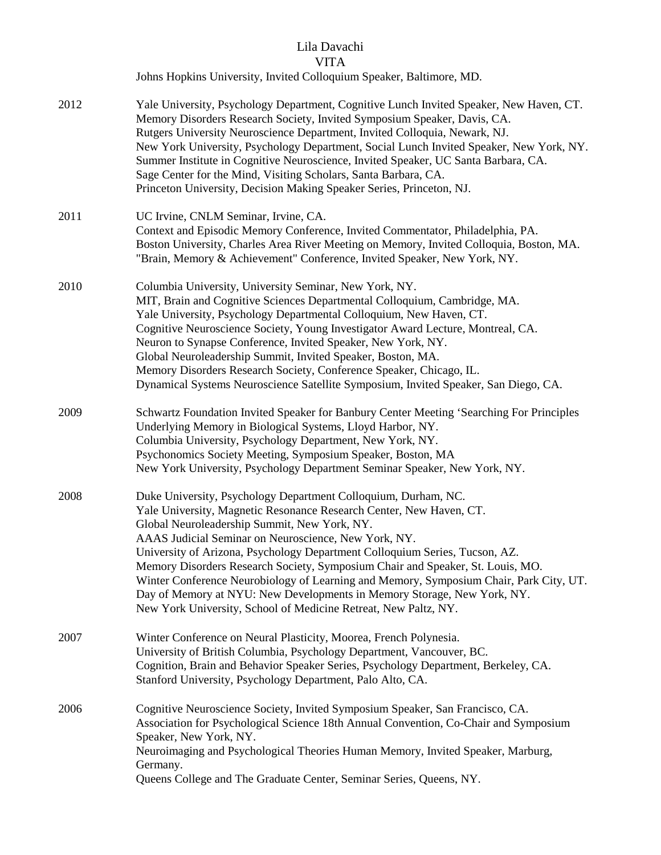# Lila Davachi

### VITA

Johns Hopkins University, Invited Colloquium Speaker, Baltimore, MD.

2012 Yale University, Psychology Department, Cognitive Lunch Invited Speaker, New Haven, CT. Memory Disorders Research Society, Invited Symposium Speaker, Davis, CA. Rutgers University Neuroscience Department, Invited Colloquia, Newark, NJ. New York University, Psychology Department, Social Lunch Invited Speaker, New York, NY. Summer Institute in Cognitive Neuroscience, Invited Speaker, UC Santa Barbara, CA. Sage Center for the Mind, Visiting Scholars, Santa Barbara, CA. Princeton University, Decision Making Speaker Series, Princeton, NJ.

#### 2011 UC Irvine, CNLM Seminar, Irvine, CA. Context and Episodic Memory Conference, Invited Commentator, Philadelphia, PA. Boston University, Charles Area River Meeting on Memory, Invited Colloquia, Boston, MA. "Brain, Memory & Achievement" Conference, Invited Speaker, New York, NY.

- 2010 Columbia University, University Seminar, New York, NY. MIT, Brain and Cognitive Sciences Departmental Colloquium, Cambridge, MA. Yale University, Psychology Departmental Colloquium, New Haven, CT. Cognitive Neuroscience Society, Young Investigator Award Lecture, Montreal, CA. Neuron to Synapse Conference, Invited Speaker, New York, NY. Global Neuroleadership Summit, Invited Speaker, Boston, MA. Memory Disorders Research Society, Conference Speaker, Chicago, IL. Dynamical Systems Neuroscience Satellite Symposium, Invited Speaker, San Diego, CA.
- 2009 Schwartz Foundation Invited Speaker for Banbury Center Meeting 'Searching For Principles Underlying Memory in Biological Systems, Lloyd Harbor, NY. Columbia University, Psychology Department, New York, NY. Psychonomics Society Meeting, Symposium Speaker, Boston, MA New York University, Psychology Department Seminar Speaker, New York, NY.
- 2008 Duke University, Psychology Department Colloquium, Durham, NC. Yale University, Magnetic Resonance Research Center, New Haven, CT. Global Neuroleadership Summit, New York, NY. AAAS Judicial Seminar on Neuroscience, New York, NY. University of Arizona, Psychology Department Colloquium Series, Tucson, AZ. Memory Disorders Research Society, Symposium Chair and Speaker, St. Louis, MO. Winter Conference Neurobiology of Learning and Memory, Symposium Chair, Park City, UT. Day of Memory at NYU: New Developments in Memory Storage, New York, NY. New York University, School of Medicine Retreat, New Paltz, NY.
- 2007 Winter Conference on Neural Plasticity, Moorea, French Polynesia. University of British Columbia, Psychology Department, Vancouver, BC. Cognition, Brain and Behavior Speaker Series, Psychology Department, Berkeley, CA. Stanford University, Psychology Department, Palo Alto, CA.
- 2006 Cognitive Neuroscience Society, Invited Symposium Speaker, San Francisco, CA. Association for Psychological Science 18th Annual Convention, Co-Chair and Symposium Speaker, New York, NY. Neuroimaging and Psychological Theories Human Memory, Invited Speaker, Marburg, Germany. Queens College and The Graduate Center, Seminar Series, Queens, NY.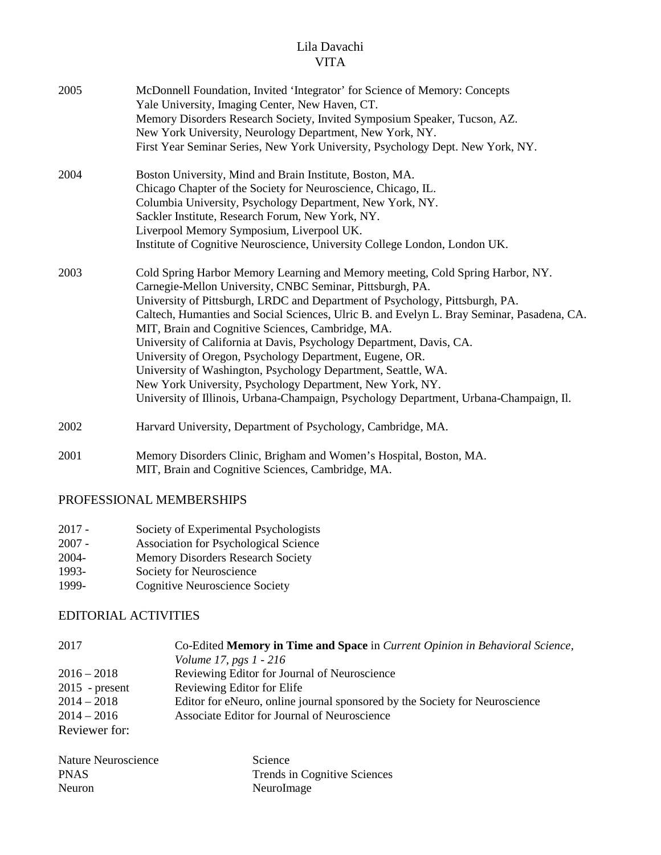| 2005 | McDonnell Foundation, Invited 'Integrator' for Science of Memory: Concepts<br>Yale University, Imaging Center, New Haven, CT.<br>Memory Disorders Research Society, Invited Symposium Speaker, Tucson, AZ.<br>New York University, Neurology Department, New York, NY.<br>First Year Seminar Series, New York University, Psychology Dept. New York, NY.                                                                                                                                                                                                                                                                                                                                                                                   |
|------|--------------------------------------------------------------------------------------------------------------------------------------------------------------------------------------------------------------------------------------------------------------------------------------------------------------------------------------------------------------------------------------------------------------------------------------------------------------------------------------------------------------------------------------------------------------------------------------------------------------------------------------------------------------------------------------------------------------------------------------------|
| 2004 | Boston University, Mind and Brain Institute, Boston, MA.<br>Chicago Chapter of the Society for Neuroscience, Chicago, IL.<br>Columbia University, Psychology Department, New York, NY.<br>Sackler Institute, Research Forum, New York, NY.<br>Liverpool Memory Symposium, Liverpool UK.<br>Institute of Cognitive Neuroscience, University College London, London UK.                                                                                                                                                                                                                                                                                                                                                                      |
| 2003 | Cold Spring Harbor Memory Learning and Memory meeting, Cold Spring Harbor, NY.<br>Carnegie-Mellon University, CNBC Seminar, Pittsburgh, PA.<br>University of Pittsburgh, LRDC and Department of Psychology, Pittsburgh, PA.<br>Caltech, Humanties and Social Sciences, Ulric B. and Evelyn L. Bray Seminar, Pasadena, CA.<br>MIT, Brain and Cognitive Sciences, Cambridge, MA.<br>University of California at Davis, Psychology Department, Davis, CA.<br>University of Oregon, Psychology Department, Eugene, OR.<br>University of Washington, Psychology Department, Seattle, WA.<br>New York University, Psychology Department, New York, NY.<br>University of Illinois, Urbana-Champaign, Psychology Department, Urbana-Champaign, Il. |
| 2002 | Harvard University, Department of Psychology, Cambridge, MA.                                                                                                                                                                                                                                                                                                                                                                                                                                                                                                                                                                                                                                                                               |

2001 Memory Disorders Clinic, Brigham and Women's Hospital, Boston, MA. MIT, Brain and Cognitive Sciences, Cambridge, MA.

# PROFESSIONAL MEMBERSHIPS

- 2017 Society of Experimental Psychologists<br>2007 Association for Psychological Science
- Association for Psychological Science
- 2004- Memory Disorders Research Society
- 1993- Society for Neuroscience
- 1999- Cognitive Neuroscience Society

### EDITORIAL ACTIVITIES

| 2017             | Co-Edited Memory in Time and Space in Current Opinion in Behavioral Science, |
|------------------|------------------------------------------------------------------------------|
|                  | <i>Volume 17, pgs 1 - 216</i>                                                |
| $2016 - 2018$    | Reviewing Editor for Journal of Neuroscience                                 |
| $2015$ - present | Reviewing Editor for Elife                                                   |
| $2014 - 2018$    | Editor for eNeuro, online journal sponsored by the Society for Neuroscience  |
| $2014 - 2016$    | Associate Editor for Journal of Neuroscience                                 |
| Reviewer for:    |                                                                              |

| Nature Neuroscience | Science                      |
|---------------------|------------------------------|
| <b>PNAS</b>         | Trends in Cognitive Sciences |
| Neuron              | Neurolmage                   |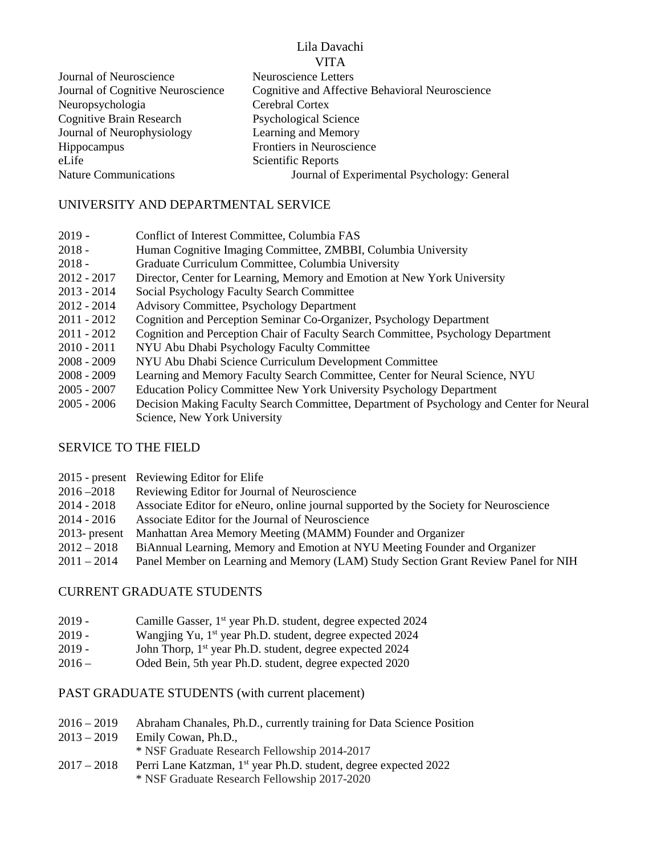| Journal of Neuroscience           | Neuroscience Letters                            |
|-----------------------------------|-------------------------------------------------|
| Journal of Cognitive Neuroscience | Cognitive and Affective Behavioral Neuroscience |
| Neuropsychologia                  | Cerebral Cortex                                 |
| <b>Cognitive Brain Research</b>   | <b>Psychological Science</b>                    |
| Journal of Neurophysiology        | Learning and Memory                             |
| <b>Hippocampus</b>                | Frontiers in Neuroscience                       |
| eLife                             | Scientific Reports                              |
| <b>Nature Communications</b>      | Journal of Experimental Psychology: General     |
|                                   |                                                 |

### UNIVERSITY AND DEPARTMENTAL SERVICE

- 2019 Conflict of Interest Committee, Columbia FAS
- 2018 Human Cognitive Imaging Committee, ZMBBI, Columbia University
- 2018 Graduate Curriculum Committee, Columbia University
- 2012 2017 Director, Center for Learning, Memory and Emotion at New York University
- 2013 2014 Social Psychology Faculty Search Committee
- 2012 2014 Advisory Committee, Psychology Department
- 2011 2012 Cognition and Perception Seminar Co-Organizer, Psychology Department
- 2011 2012 Cognition and Perception Chair of Faculty Search Committee, Psychology Department
- 2010 2011 NYU Abu Dhabi Psychology Faculty Committee
- 2008 2009 NYU Abu Dhabi Science Curriculum Development Committee
- 2008 2009 Learning and Memory Faculty Search Committee, Center for Neural Science, NYU
- 2005 2007 Education Policy Committee New York University Psychology Department
- 2005 2006 Decision Making Faculty Search Committee, Department of Psychology and Center for Neural Science, New York University

# SERVICE TO THE FIELD

|                  | 2015 - present Reviewing Editor for Elife                                             |
|------------------|---------------------------------------------------------------------------------------|
| $2016 - 2018$    | Reviewing Editor for Journal of Neuroscience                                          |
| 2014 - 2018      | Associate Editor for eNeuro, online journal supported by the Society for Neuroscience |
| $2014 - 2016$    | Associate Editor for the Journal of Neuroscience                                      |
| $2013$ - present | Manhattan Area Memory Meeting (MAMM) Founder and Organizer                            |
| $2012 - 2018$    | BiAnnual Learning, Memory and Emotion at NYU Meeting Founder and Organizer            |
| $2011 - 2014$    | Panel Member on Learning and Memory (LAM) Study Section Grant Review Panel for NIH    |
|                  |                                                                                       |

### CURRENT GRADUATE STUDENTS

- 2019 Camille Gasser, 1<sup>st</sup> year Ph.D. student, degree expected 2024
- 2019 Wangjing Yu,  $1^{st}$  year Ph.D. student, degree expected 2024
- 2019 John Thorp, 1<sup>st</sup> year Ph.D. student, degree expected 2024
- 2016 Oded Bein, 5th year Ph.D. student, degree expected 2020

### PAST GRADUATE STUDENTS (with current placement)

- 2016 2019 Abraham Chanales, Ph.D., currently training for Data Science Position
- 2013 2019 Emily Cowan, Ph.D.,
	- \* NSF Graduate Research Fellowship 2014-2017
- 2017 2018 Perri Lane Katzman, 1<sup>st</sup> year Ph.D. student, degree expected 2022 \* NSF Graduate Research Fellowship 2017-2020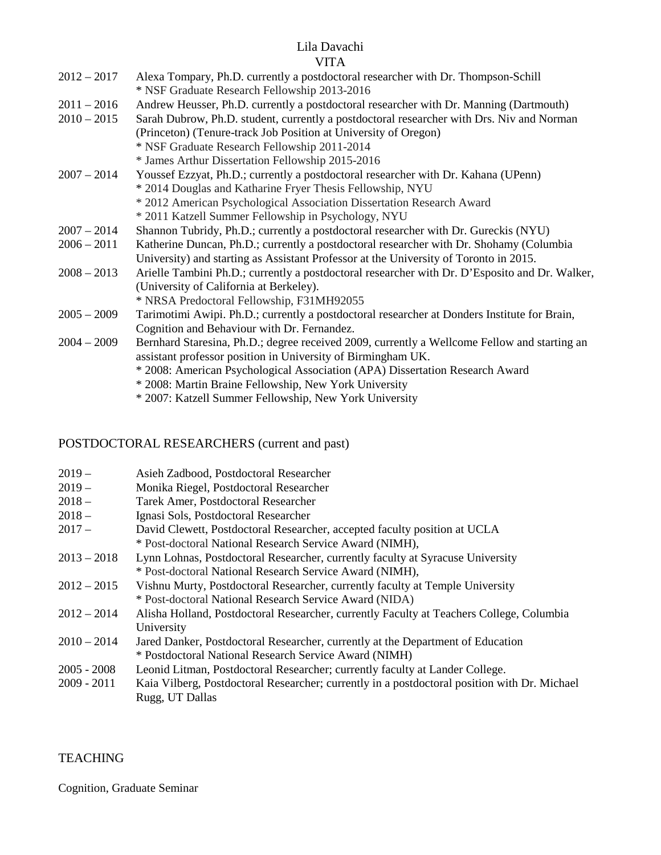### Lila Davachi

### VITA

| $2012 - 2017$ | Alexa Tompary, Ph.D. currently a postdoctoral researcher with Dr. Thompson-Schill              |
|---------------|------------------------------------------------------------------------------------------------|
|               | * NSF Graduate Research Fellowship 2013-2016                                                   |
| $2011 - 2016$ | Andrew Heusser, Ph.D. currently a postdoctoral researcher with Dr. Manning (Dartmouth)         |
| $2010 - 2015$ | Sarah Dubrow, Ph.D. student, currently a postdoctoral researcher with Drs. Niv and Norman      |
|               | (Princeton) (Tenure-track Job Position at University of Oregon)                                |
|               | * NSF Graduate Research Fellowship 2011-2014                                                   |
|               | * James Arthur Dissertation Fellowship 2015-2016                                               |
| $2007 - 2014$ | Youssef Ezzyat, Ph.D.; currently a postdoctoral researcher with Dr. Kahana (UPenn)             |
|               | * 2014 Douglas and Katharine Fryer Thesis Fellowship, NYU                                      |
|               | * 2012 American Psychological Association Dissertation Research Award                          |
|               | * 2011 Katzell Summer Fellowship in Psychology, NYU                                            |
| $2007 - 2014$ | Shannon Tubridy, Ph.D.; currently a postdoctoral researcher with Dr. Gureckis (NYU)            |
| $2006 - 2011$ | Katherine Duncan, Ph.D.; currently a postdoctoral researcher with Dr. Shohamy (Columbia        |
|               | University) and starting as Assistant Professor at the University of Toronto in 2015.          |
| $2008 - 2013$ | Arielle Tambini Ph.D.; currently a postdoctoral researcher with Dr. D'Esposito and Dr. Walker, |
|               | (University of California at Berkeley).                                                        |
|               | * NRSA Predoctoral Fellowship, F31MH92055                                                      |
| $2005 - 2009$ | Tarimotimi Awipi. Ph.D.; currently a postdoctoral researcher at Donders Institute for Brain,   |
|               | Cognition and Behaviour with Dr. Fernandez.                                                    |
| $2004 - 2009$ | Bernhard Staresina, Ph.D.; degree received 2009, currently a Wellcome Fellow and starting an   |
|               | assistant professor position in University of Birmingham UK.                                   |
|               | * 2008: American Psychological Association (APA) Dissertation Research Award                   |
|               | * 2008: Martin Braine Fellowship, New York University                                          |
|               | * 2007: Katzell Summer Fellowship, New York University                                         |
|               |                                                                                                |

#### POSTDOCTORAL RESEARCHERS (current and past)

| $2019-$ | Asieh Zadbood, Postdoctoral Researcher |
|---------|----------------------------------------|
|---------|----------------------------------------|

- 2019 Monika Riegel, Postdoctoral Researcher
- 2018 Tarek Amer, Postdoctoral Researcher
- 2018 Ignasi Sols, Postdoctoral Researcher
- 2017 David Clewett, Postdoctoral Researcher, accepted faculty position at UCLA \* Post-doctoral National Research Service Award (NIMH),
- 2013 2018 Lynn Lohnas, Postdoctoral Researcher, currently faculty at Syracuse University \* Post-doctoral National Research Service Award (NIMH),
- 2012 2015 Vishnu Murty, Postdoctoral Researcher, currently faculty at Temple University \* Post-doctoral National Research Service Award (NIDA)
- 2012 2014 Alisha Holland, Postdoctoral Researcher, currently Faculty at Teachers College, Columbia University
- 2010 2014 Jared Danker, Postdoctoral Researcher, currently at the Department of Education \* Postdoctoral National Research Service Award (NIMH)
- 2005 2008 Leonid Litman, Postdoctoral Researcher; currently faculty at Lander College.
- 2009 2011 Kaia Vilberg, Postdoctoral Researcher; currently in a postdoctoral position with Dr. Michael Rugg, UT Dallas

#### **TEACHING**

Cognition, Graduate Seminar